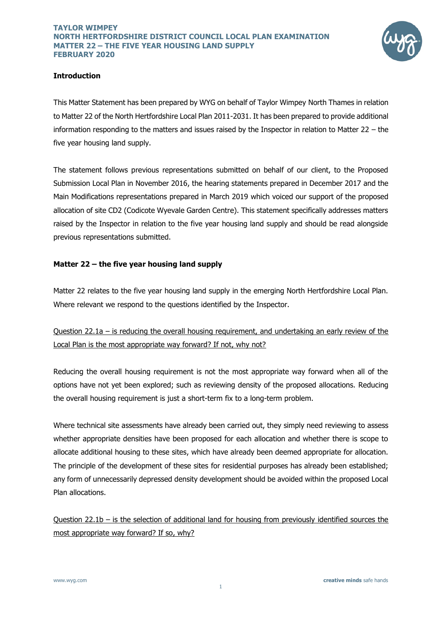

### **Introduction**

This Matter Statement has been prepared by WYG on behalf of Taylor Wimpey North Thames in relation to Matter 22 of the North Hertfordshire Local Plan 2011-2031. It has been prepared to provide additional information responding to the matters and issues raised by the Inspector in relation to Matter 22 – the five year housing land supply.

The statement follows previous representations submitted on behalf of our client, to the Proposed Submission Local Plan in November 2016, the hearing statements prepared in December 2017 and the Main Modifications representations prepared in March 2019 which voiced our support of the proposed allocation of site CD2 (Codicote Wyevale Garden Centre). This statement specifically addresses matters raised by the Inspector in relation to the five year housing land supply and should be read alongside previous representations submitted.

### **Matter 22 – the five year housing land supply**

Matter 22 relates to the five year housing land supply in the emerging North Hertfordshire Local Plan. Where relevant we respond to the questions identified by the Inspector.

Question 22.1a – is reducing the overall housing requirement, and undertaking an early review of the Local Plan is the most appropriate way forward? If not, why not?

Reducing the overall housing requirement is not the most appropriate way forward when all of the options have not yet been explored; such as reviewing density of the proposed allocations. Reducing the overall housing requirement is just a short-term fix to a long-term problem.

Where technical site assessments have already been carried out, they simply need reviewing to assess whether appropriate densities have been proposed for each allocation and whether there is scope to allocate additional housing to these sites, which have already been deemed appropriate for allocation. The principle of the development of these sites for residential purposes has already been established; any form of unnecessarily depressed density development should be avoided within the proposed Local Plan allocations.

Question 22.1b – is the selection of additional land for housing from previously identified sources the most appropriate way forward? If so, why?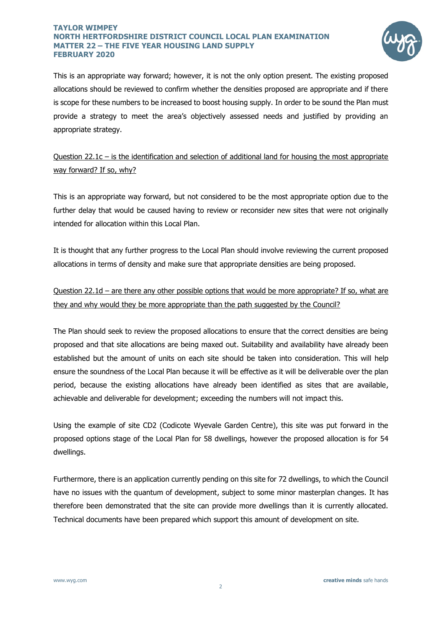### **TAYLOR WIMPEY NORTH HERTFORDSHIRE DISTRICT COUNCIL LOCAL PLAN EXAMINATION MATTER 22 – THE FIVE YEAR HOUSING LAND SUPPLY FEBRUARY 2020**



This is an appropriate way forward; however, it is not the only option present. The existing proposed allocations should be reviewed to confirm whether the densities proposed are appropriate and if there is scope for these numbers to be increased to boost housing supply. In order to be sound the Plan must provide a strategy to meet the area's objectively assessed needs and justified by providing an appropriate strategy.

# Question 22.1c – is the identification and selection of additional land for housing the most appropriate way forward? If so, why?

This is an appropriate way forward, but not considered to be the most appropriate option due to the further delay that would be caused having to review or reconsider new sites that were not originally intended for allocation within this Local Plan.

It is thought that any further progress to the Local Plan should involve reviewing the current proposed allocations in terms of density and make sure that appropriate densities are being proposed.

# Question 22.1d – are there any other possible options that would be more appropriate? If so, what are they and why would they be more appropriate than the path suggested by the Council?

The Plan should seek to review the proposed allocations to ensure that the correct densities are being proposed and that site allocations are being maxed out. Suitability and availability have already been established but the amount of units on each site should be taken into consideration. This will help ensure the soundness of the Local Plan because it will be effective as it will be deliverable over the plan period, because the existing allocations have already been identified as sites that are available, achievable and deliverable for development; exceeding the numbers will not impact this.

Using the example of site CD2 (Codicote Wyevale Garden Centre), this site was put forward in the proposed options stage of the Local Plan for 58 dwellings, however the proposed allocation is for 54 dwellings.

Furthermore, there is an application currently pending on this site for 72 dwellings, to which the Council have no issues with the quantum of development, subject to some minor masterplan changes. It has therefore been demonstrated that the site can provide more dwellings than it is currently allocated. Technical documents have been prepared which support this amount of development on site.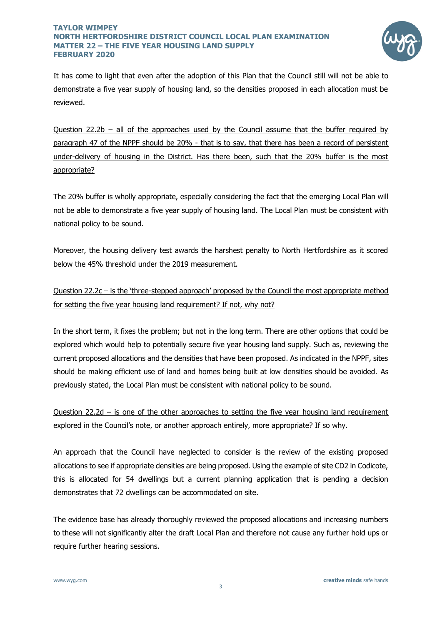### **TAYLOR WIMPEY NORTH HERTFORDSHIRE DISTRICT COUNCIL LOCAL PLAN EXAMINATION MATTER 22 – THE FIVE YEAR HOUSING LAND SUPPLY FEBRUARY 2020**



It has come to light that even after the adoption of this Plan that the Council still will not be able to demonstrate a five year supply of housing land, so the densities proposed in each allocation must be reviewed.

Question 22.2b – all of the approaches used by the Council assume that the buffer required by paragraph 47 of the NPPF should be 20% - that is to say, that there has been a record of persistent under-delivery of housing in the District. Has there been, such that the 20% buffer is the most appropriate?

The 20% buffer is wholly appropriate, especially considering the fact that the emerging Local Plan will not be able to demonstrate a five year supply of housing land. The Local Plan must be consistent with national policy to be sound.

Moreover, the housing delivery test awards the harshest penalty to North Hertfordshire as it scored below the 45% threshold under the 2019 measurement.

Question 22.2c – is the 'three-stepped approach' proposed by the Council the most appropriate method for setting the five year housing land requirement? If not, why not?

In the short term, it fixes the problem; but not in the long term. There are other options that could be explored which would help to potentially secure five year housing land supply. Such as, reviewing the current proposed allocations and the densities that have been proposed. As indicated in the NPPF, sites should be making efficient use of land and homes being built at low densities should be avoided. As previously stated, the Local Plan must be consistent with national policy to be sound.

Question 22.2d – is one of the other approaches to setting the five year housing land requirement explored in the Council's note, or another approach entirely, more appropriate? If so why.

An approach that the Council have neglected to consider is the review of the existing proposed allocations to see if appropriate densities are being proposed. Using the example of site CD2 in Codicote, this is allocated for 54 dwellings but a current planning application that is pending a decision demonstrates that 72 dwellings can be accommodated on site.

The evidence base has already thoroughly reviewed the proposed allocations and increasing numbers to these will not significantly alter the draft Local Plan and therefore not cause any further hold ups or require further hearing sessions.